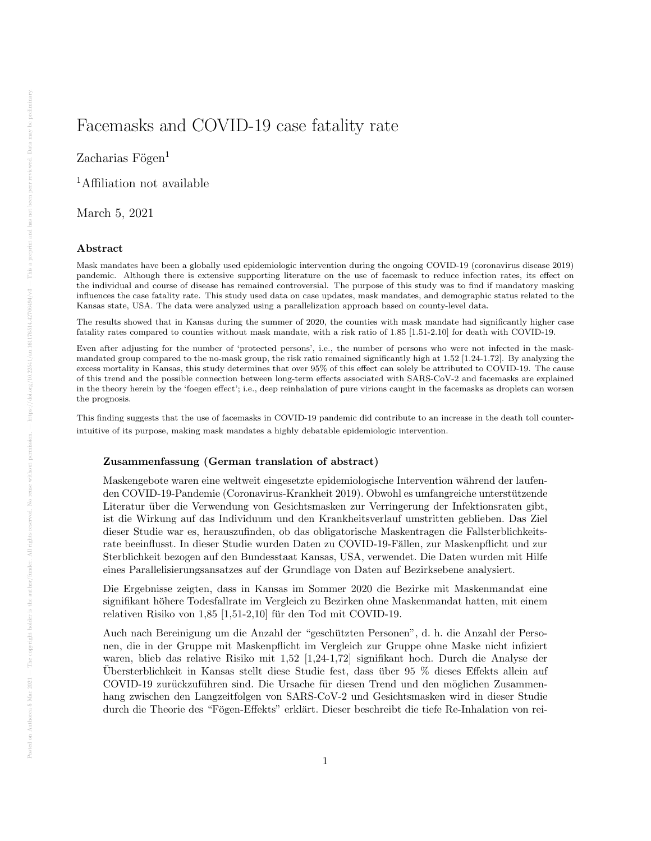# Facemasks and COVID-19 case fatality rate

 $Zacharias Fögen<sup>1</sup>$ 

<sup>1</sup>Affiliation not available

March 5, 2021

#### Abstract

Mask mandates have been a globally used epidemiologic intervention during the ongoing COVID-19 (coronavirus disease 2019) pandemic. Although there is extensive supporting literature on the use of facemask to reduce infection rates, its effect on the individual and course of disease has remained controversial. The purpose of this study was to find if mandatory masking influences the case fatality rate. This study used data on case updates, mask mandates, and demographic status related to the Kansas state, USA. The data were analyzed using a parallelization approach based on county-level data.

The results showed that in Kansas during the summer of 2020, the counties with mask mandate had significantly higher case fatality rates compared to counties without mask mandate, with a risk ratio of 1.85 [1.51-2.10] for death with COVID-19.

Even after adjusting for the number of 'protected persons', i.e., the number of persons who were not infected in the maskmandated group compared to the no-mask group, the risk ratio remained significantly high at 1.52 [1.24-1.72]. By analyzing the excess mortality in Kansas, this study determines that over 95% of this effect can solely be attributed to COVID-19. The cause of this trend and the possible connection between long-term effects associated with SARS-CoV-2 and facemasks are explained in the theory herein by the 'foegen effect'; i.e., deep reinhalation of pure virions caught in the facemasks as droplets can worsen the prognosis.

This finding suggests that the use of facemasks in COVID-19 pandemic did contribute to an increase in the death toll counterintuitive of its purpose, making mask mandates a highly debatable epidemiologic intervention.

### Zusammenfassung (German translation of abstract)

Maskengebote waren eine weltweit eingesetzte epidemiologische Intervention während der laufenden COVID-19-Pandemie (Coronavirus-Krankheit 2019). Obwohl es umfangreiche unterstutzende ¨ Literatur über die Verwendung von Gesichtsmasken zur Verringerung der Infektionsraten gibt, ist die Wirkung auf das Individuum und den Krankheitsverlauf umstritten geblieben. Das Ziel dieser Studie war es, herauszufinden, ob das obligatorische Maskentragen die Fallsterblichkeitsrate beeinflusst. In dieser Studie wurden Daten zu COVID-19-Fällen, zur Maskenpflicht und zur Sterblichkeit bezogen auf den Bundesstaat Kansas, USA, verwendet. Die Daten wurden mit Hilfe eines Parallelisierungsansatzes auf der Grundlage von Daten auf Bezirksebene analysiert.

Die Ergebnisse zeigten, dass in Kansas im Sommer 2020 die Bezirke mit Maskenmandat eine signifikant höhere Todesfallrate im Vergleich zu Bezirken ohne Maskenmandat hatten, mit einem relativen Risiko von  $1,85$  [1,51-2,10] für den Tod mit COVID-19.

Auch nach Bereinigung um die Anzahl der "geschutzten Personen", d. h. die Anzahl der Perso- ¨ nen, die in der Gruppe mit Maskenpflicht im Vergleich zur Gruppe ohne Maske nicht infiziert waren, blieb das relative Risiko mit 1,52 [1,24-1,72] signifikant hoch. Durch die Analyse der Übersterblichkeit in Kansas stellt diese Studie fest, dass über 95 % dieses Effekts allein auf COVID-19 zurückzuführen sind. Die Ursache für diesen Trend und den möglichen Zusammenhang zwischen den Langzeitfolgen von SARS-CoV-2 und Gesichtsmasken wird in dieser Studie durch die Theorie des "Fögen-Effekts" erklärt. Dieser beschreibt die tiefe Re-Inhalation von rei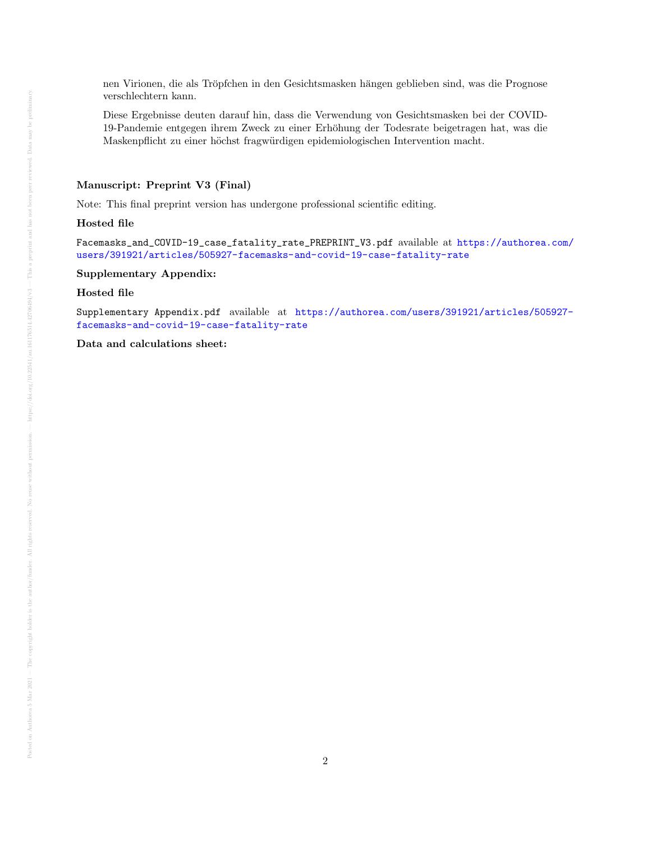nen Virionen, die als Tröpfchen in den Gesichtsmasken hängen geblieben sind, was die Prognose verschlechtern kann.

Diese Ergebnisse deuten darauf hin, dass die Verwendung von Gesichtsmasken bei der COVID-19-Pandemie entgegen ihrem Zweck zu einer Erhöhung der Todesrate beigetragen hat, was die Maskenpflicht zu einer höchst fragwürdigen epidemiologischen Intervention macht.

### Manuscript: Preprint V3 (Final)

Note: This final preprint version has undergone professional scientific editing.

#### Hosted file

Facemasks\_and\_COVID-19\_case\_fatality\_rate\_PREPRINT\_V3.pdf available at [https://authorea.com/](https://authorea.com/users/391921/articles/505927-facemasks-and-covid-19-case-fatality-rate) [users/391921/articles/505927-facemasks-and-covid-19-case-fatality-rate](https://authorea.com/users/391921/articles/505927-facemasks-and-covid-19-case-fatality-rate)

# Supplementary Appendix:

## Hosted file

Supplementary Appendix.pdf available at [https://authorea.com/users/391921/articles/505927](https://authorea.com/users/391921/articles/505927-facemasks-and-covid-19-case-fatality-rate) [facemasks-and-covid-19-case-fatality-rate](https://authorea.com/users/391921/articles/505927-facemasks-and-covid-19-case-fatality-rate)

Data and calculations sheet: